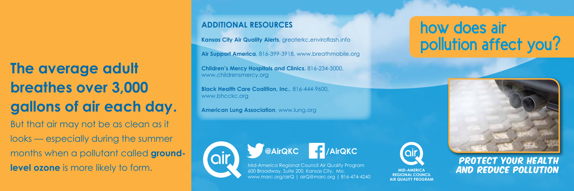**The average adult breathes over 3,000 gallons of air each day.** But that air may not be as clean as it looks — especially during the summer months when a pollutant called **groundlevel ozone** is more likely to form.

#### **ADDITIONAL RESOURCES**

**Kansas City Air Quality Alerts**, greaterkc.enviroflash.info

**Air Support America**, 816-399-3918, www.breathmobile.org

**Children's Mercy Hospitals and Clinics**, 816-234-3000, www.childrensmercy.org

**Black Health Care Coalition, Inc.**, 816-444-9600, www.bhcckc.org

**American Lung Association**, www.lung.org





## how does air pollution affect you?



# PROTECT YOUR HEALTH

**MID-AMERICA REGIONAL COUNCIL AIR QUALITY PROGRAM**

**air**